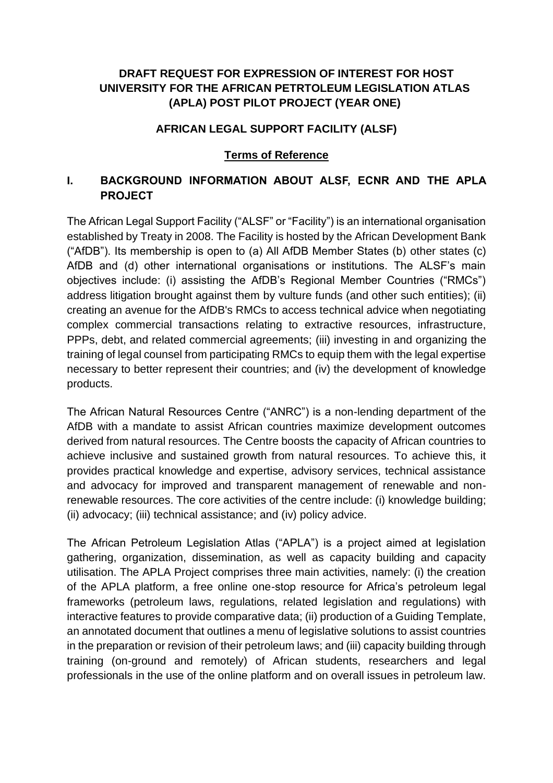### **DRAFT REQUEST FOR EXPRESSION OF INTEREST FOR HOST UNIVERSITY FOR THE AFRICAN PETRTOLEUM LEGISLATION ATLAS (APLA) POST PILOT PROJECT (YEAR ONE)**

#### **AFRICAN LEGAL SUPPORT FACILITY (ALSF)**

#### **Terms of Reference**

### **I. BACKGROUND INFORMATION ABOUT ALSF, ECNR AND THE APLA PROJECT**

The African Legal Support Facility ("ALSF" or "Facility") is an international organisation established by Treaty in 2008. The Facility is hosted by the African Development Bank ("AfDB"). Its membership is open to (a) All AfDB Member States (b) other states (c) AfDB and (d) other international organisations or institutions. The ALSF's main objectives include: (i) assisting the AfDB's Regional Member Countries ("RMCs") address litigation brought against them by vulture funds (and other such entities); (ii) creating an avenue for the AfDB's RMCs to access technical advice when negotiating complex commercial transactions relating to extractive resources, infrastructure, PPPs, debt, and related commercial agreements; (iii) investing in and organizing the training of legal counsel from participating RMCs to equip them with the legal expertise necessary to better represent their countries; and (iv) the development of knowledge products.

The African Natural Resources Centre ("ANRC") is a non-lending department of the AfDB with a mandate to assist African countries maximize development outcomes derived from natural resources. The Centre boosts the capacity of African countries to achieve inclusive and sustained growth from natural resources. To achieve this, it provides practical knowledge and expertise, advisory services, technical assistance and advocacy for improved and transparent management of renewable and nonrenewable resources. The core activities of the centre include: (i) knowledge building; (ii) advocacy; (iii) technical assistance; and (iv) policy advice.

The African Petroleum Legislation Atlas ("APLA") is a project aimed at legislation gathering, organization, dissemination, as well as capacity building and capacity utilisation. The APLA Project comprises three main activities, namely: (i) the creation of the APLA platform, a free online one-stop resource for Africa's petroleum legal frameworks (petroleum laws, regulations, related legislation and regulations) with interactive features to provide comparative data; (ii) production of a Guiding Template, an annotated document that outlines a menu of legislative solutions to assist countries in the preparation or revision of their petroleum laws; and (iii) capacity building through training (on-ground and remotely) of African students, researchers and legal professionals in the use of the online platform and on overall issues in petroleum law.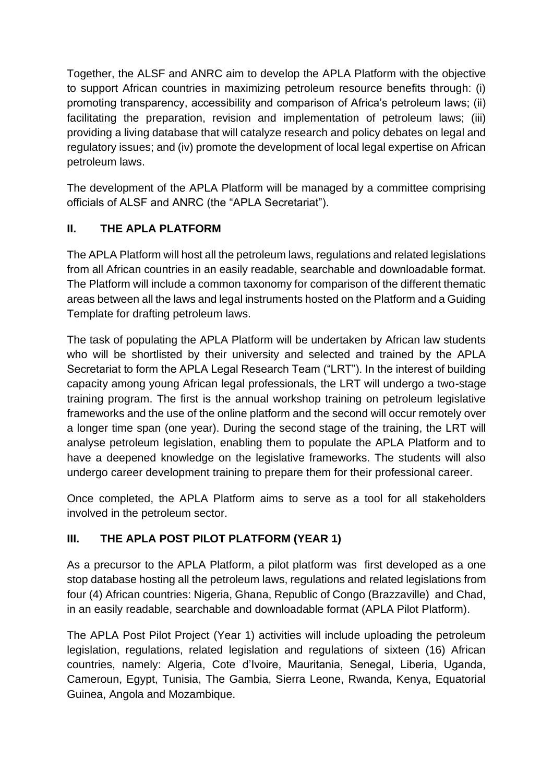Together, the ALSF and ANRC aim to develop the APLA Platform with the objective to support African countries in maximizing petroleum resource benefits through: (i) promoting transparency, accessibility and comparison of Africa's petroleum laws; (ii) facilitating the preparation, revision and implementation of petroleum laws; (iii) providing a living database that will catalyze research and policy debates on legal and regulatory issues; and (iv) promote the development of local legal expertise on African petroleum laws.

The development of the APLA Platform will be managed by a committee comprising officials of ALSF and ANRC (the "APLA Secretariat").

# **II. THE APLA PLATFORM**

The APLA Platform will host all the petroleum laws, regulations and related legislations from all African countries in an easily readable, searchable and downloadable format. The Platform will include a common taxonomy for comparison of the different thematic areas between all the laws and legal instruments hosted on the Platform and a Guiding Template for drafting petroleum laws.

The task of populating the APLA Platform will be undertaken by African law students who will be shortlisted by their university and selected and trained by the APLA Secretariat to form the APLA Legal Research Team ("LRT"). In the interest of building capacity among young African legal professionals, the LRT will undergo a two-stage training program. The first is the annual workshop training on petroleum legislative frameworks and the use of the online platform and the second will occur remotely over a longer time span (one year). During the second stage of the training, the LRT will analyse petroleum legislation, enabling them to populate the APLA Platform and to have a deepened knowledge on the legislative frameworks. The students will also undergo career development training to prepare them for their professional career.

Once completed, the APLA Platform aims to serve as a tool for all stakeholders involved in the petroleum sector.

# **III. THE APLA POST PILOT PLATFORM (YEAR 1)**

As a precursor to the APLA Platform, a pilot platform was first developed as a one stop database hosting all the petroleum laws, regulations and related legislations from four (4) African countries: Nigeria, Ghana, Republic of Congo (Brazzaville) and Chad, in an easily readable, searchable and downloadable format (APLA Pilot Platform).

The APLA Post Pilot Project (Year 1) activities will include uploading the petroleum legislation, regulations, related legislation and regulations of sixteen (16) African countries, namely: Algeria, Cote d'Ivoire, Mauritania, Senegal, Liberia, Uganda, Cameroun, Egypt, Tunisia, The Gambia, Sierra Leone, Rwanda, Kenya, Equatorial Guinea, Angola and Mozambique.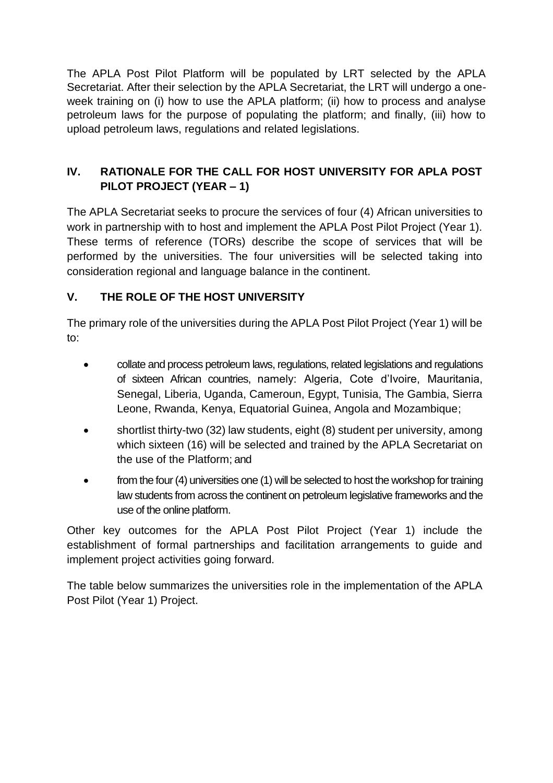The APLA Post Pilot Platform will be populated by LRT selected by the APLA Secretariat. After their selection by the APLA Secretariat, the LRT will undergo a oneweek training on (i) how to use the APLA platform; (ii) how to process and analyse petroleum laws for the purpose of populating the platform; and finally, (iii) how to upload petroleum laws, regulations and related legislations.

# **IV. RATIONALE FOR THE CALL FOR HOST UNIVERSITY FOR APLA POST PILOT PROJECT (YEAR – 1)**

The APLA Secretariat seeks to procure the services of four (4) African universities to work in partnership with to host and implement the APLA Post Pilot Project (Year 1). These terms of reference (TORs) describe the scope of services that will be performed by the universities. The four universities will be selected taking into consideration regional and language balance in the continent.

# **V. THE ROLE OF THE HOST UNIVERSITY**

The primary role of the universities during the APLA Post Pilot Project (Year 1) will be to:

- collate and process petroleum laws, regulations, related legislations and regulations of sixteen African countries, namely: Algeria, Cote d'Ivoire, Mauritania, Senegal, Liberia, Uganda, Cameroun, Egypt, Tunisia, The Gambia, Sierra Leone, Rwanda, Kenya, Equatorial Guinea, Angola and Mozambique;
- shortlist thirty-two (32) law students, eight (8) student per university, among which sixteen (16) will be selected and trained by the APLA Secretariat on the use of the Platform; and
- from the four (4) universities one (1) will be selected to host the workshop for training law students from across the continent on petroleum legislative frameworks and the use of the online platform.

Other key outcomes for the APLA Post Pilot Project (Year 1) include the establishment of formal partnerships and facilitation arrangements to guide and implement project activities going forward.

The table below summarizes the universities role in the implementation of the APLA Post Pilot (Year 1) Project.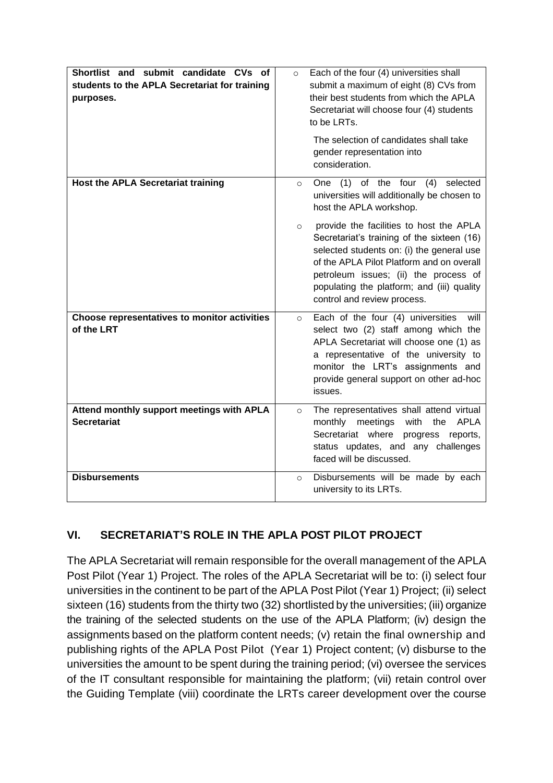| Shortlist and submit candidate CVs of<br>students to the APLA Secretariat for training<br>purposes. | Each of the four (4) universities shall<br>$\circ$<br>submit a maximum of eight (8) CVs from<br>their best students from which the APLA<br>Secretariat will choose four (4) students<br>to be LRTs.                                                                                                              |
|-----------------------------------------------------------------------------------------------------|------------------------------------------------------------------------------------------------------------------------------------------------------------------------------------------------------------------------------------------------------------------------------------------------------------------|
|                                                                                                     | The selection of candidates shall take<br>gender representation into<br>consideration.                                                                                                                                                                                                                           |
| <b>Host the APLA Secretariat training</b>                                                           | One (1) of the four<br>selected<br>(4)<br>$\circ$<br>universities will additionally be chosen to<br>host the APLA workshop.                                                                                                                                                                                      |
|                                                                                                     | provide the facilities to host the APLA<br>$\circ$<br>Secretariat's training of the sixteen (16)<br>selected students on: (i) the general use<br>of the APLA Pilot Platform and on overall<br>petroleum issues; (ii) the process of<br>populating the platform; and (iii) quality<br>control and review process. |
| Choose representatives to monitor activities<br>of the LRT                                          | Each of the four (4) universities<br>will<br>$\circ$<br>select two (2) staff among which the<br>APLA Secretariat will choose one (1) as<br>a representative of the university to<br>monitor the LRT's assignments and<br>provide general support on other ad-hoc<br>issues.                                      |
| Attend monthly support meetings with APLA<br><b>Secretariat</b>                                     | The representatives shall attend virtual<br>$\circ$<br>meetings<br>with<br><b>APLA</b><br>monthly<br>the<br>Secretariat where<br>progress<br>reports,<br>status updates, and any challenges<br>faced will be discussed.                                                                                          |
| <b>Disbursements</b>                                                                                | Disbursements will be made by each<br>$\Omega$<br>university to its LRTs.                                                                                                                                                                                                                                        |

# **VI. SECRETARIAT'S ROLE IN THE APLA POST PILOT PROJECT**

The APLA Secretariat will remain responsible for the overall management of the APLA Post Pilot (Year 1) Project. The roles of the APLA Secretariat will be to: (i) select four universities in the continent to be part of the APLA Post Pilot (Year 1) Project; (ii) select sixteen (16) students from the thirty two (32) shortlisted by the universities; (iii) organize the training of the selected students on the use of the APLA Platform; (iv) design the assignments based on the platform content needs; (v) retain the final ownership and publishing rights of the APLA Post Pilot (Year 1) Project content; (v) disburse to the universities the amount to be spent during the training period; (vi) oversee the services of the IT consultant responsible for maintaining the platform; (vii) retain control over the Guiding Template (viii) coordinate the LRTs career development over the course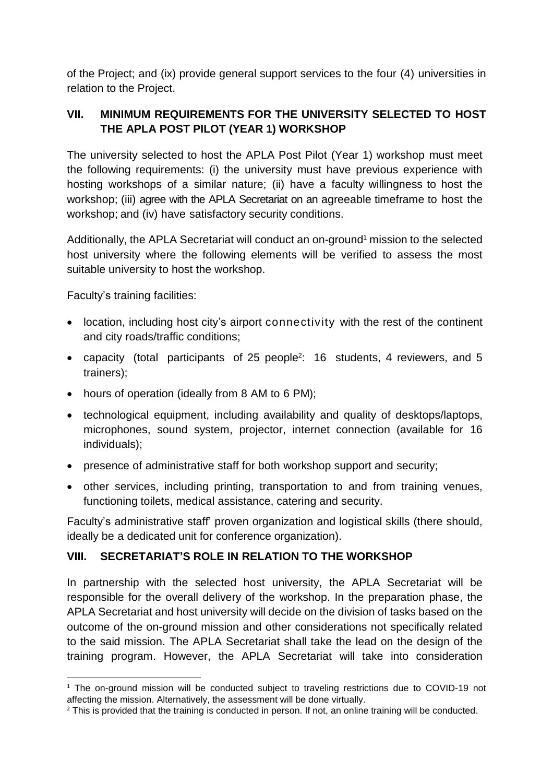of the Project; and (ix) provide general support services to the four (4) universities in relation to the Project.

## **VII. MINIMUM REQUIREMENTS FOR THE UNIVERSITY SELECTED TO HOST THE APLA POST PILOT (YEAR 1) WORKSHOP**

The university selected to host the APLA Post Pilot (Year 1) workshop must meet the following requirements: (i) the university must have previous experience with hosting workshops of a similar nature; (ii) have a faculty willingness to host the workshop; (iii) agree with the APLA Secretariat on an agreeable timeframe to host the workshop; and (iv) have satisfactory security conditions.

Additionally, the APLA Secretariat will conduct an on-ground <sup>1</sup> mission to the selected host university where the following elements will be verified to assess the most suitable university to host the workshop.

Faculty's training facilities:

- location, including host city's airport connectivity with the rest of the continent and city roads/traffic conditions;
- capacity (total participants of 25 people<sup>2</sup>: 16 students, 4 reviewers, and 5 trainers);
- hours of operation (ideally from 8 AM to 6 PM);
- technological equipment, including availability and quality of desktops/laptops, microphones, sound system, projector, internet connection (available for 16 individuals);
- presence of administrative staff for both workshop support and security;
- other services, including printing, transportation to and from training venues, functioning toilets, medical assistance, catering and security.

Faculty's administrative staff' proven organization and logistical skills (there should, ideally be a dedicated unit for conference organization).

## **VIII. SECRETARIAT'S ROLE IN RELATION TO THE WORKSHOP**

In partnership with the selected host university, the APLA Secretariat will be responsible for the overall delivery of the workshop. In the preparation phase, the APLA Secretariat and host university will decide on the division of tasks based on the outcome of the on-ground mission and other considerations not specifically related to the said mission. The APLA Secretariat shall take the lead on the design of the training program. However, the APLA Secretariat will take into consideration

<sup>&</sup>lt;sup>1</sup> The on-ground mission will be conducted subject to traveling restrictions due to COVID-19 not affecting the mission. Alternatively, the assessment will be done virtually.

<sup>&</sup>lt;sup>2</sup> This is provided that the training is conducted in person. If not, an online training will be conducted.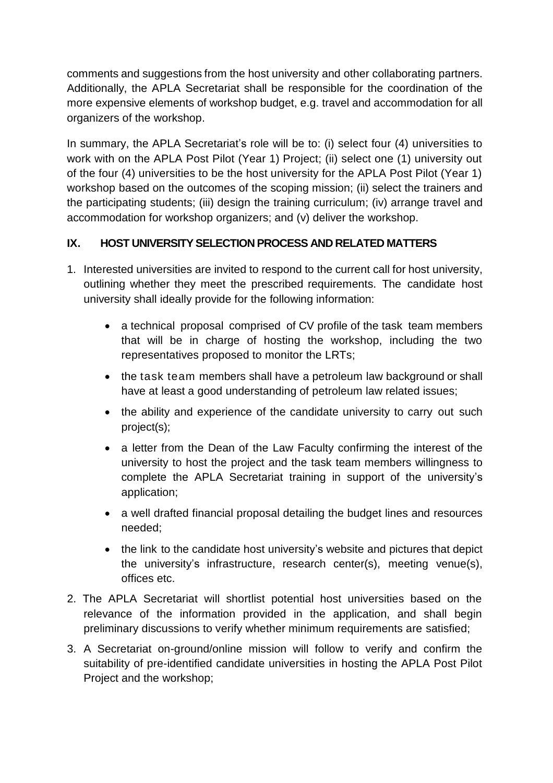comments and suggestions from the host university and other collaborating partners. Additionally, the APLA Secretariat shall be responsible for the coordination of the more expensive elements of workshop budget, e.g. travel and accommodation for all organizers of the workshop.

In summary, the APLA Secretariat's role will be to: (i) select four (4) universities to work with on the APLA Post Pilot (Year 1) Project; (ii) select one (1) university out of the four (4) universities to be the host university for the APLA Post Pilot (Year 1) workshop based on the outcomes of the scoping mission; (ii) select the trainers and the participating students; (iii) design the training curriculum; (iv) arrange travel and accommodation for workshop organizers; and (v) deliver the workshop.

### **IX. HOST UNIVERSITY SELECTION PROCESS AND RELATED MATTERS**

- 1. Interested universities are invited to respond to the current call for host university, outlining whether they meet the prescribed requirements. The candidate host university shall ideally provide for the following information:
	- a technical proposal comprised of CV profile of the task team members that will be in charge of hosting the workshop, including the two representatives proposed to monitor the LRTs;
	- the task team members shall have a petroleum law background or shall have at least a good understanding of petroleum law related issues;
	- the ability and experience of the candidate university to carry out such project(s);
	- a letter from the Dean of the Law Faculty confirming the interest of the university to host the project and the task team members willingness to complete the APLA Secretariat training in support of the university's application;
	- a well drafted financial proposal detailing the budget lines and resources needed;
	- the link to the candidate host university's website and pictures that depict the university's infrastructure, research center(s), meeting venue(s), offices etc.
- 2. The APLA Secretariat will shortlist potential host universities based on the relevance of the information provided in the application, and shall begin preliminary discussions to verify whether minimum requirements are satisfied;
- 3. A Secretariat on-ground/online mission will follow to verify and confirm the suitability of pre-identified candidate universities in hosting the APLA Post Pilot Project and the workshop;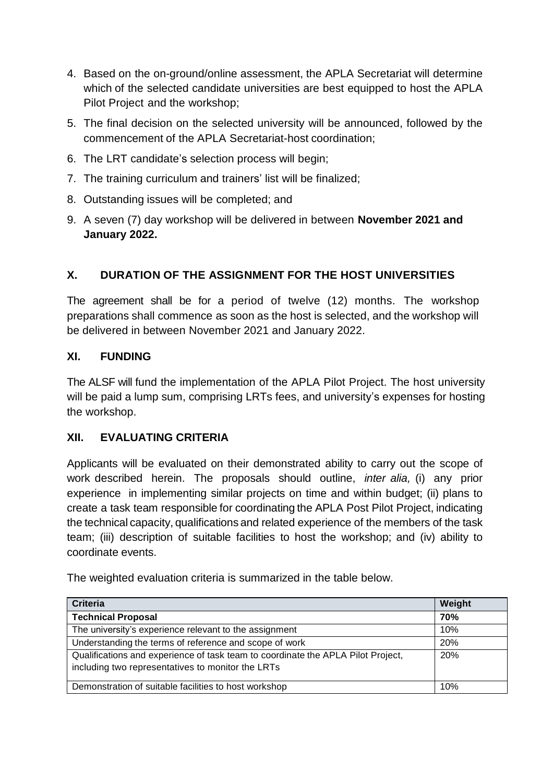- 4. Based on the on-ground/online assessment, the APLA Secretariat will determine which of the selected candidate universities are best equipped to host the APLA Pilot Project and the workshop;
- 5. The final decision on the selected university will be announced, followed by the commencement of the APLA Secretariat-host coordination;
- 6. The LRT candidate's selection process will begin;
- 7. The training curriculum and trainers' list will be finalized;
- 8. Outstanding issues will be completed; and
- 9. A seven (7) day workshop will be delivered in between **November 2021 and January 2022.**

## **X. DURATION OF THE ASSIGNMENT FOR THE HOST UNIVERSITIES**

The agreement shall be for a period of twelve (12) months. The workshop preparations shall commence as soon as the host is selected, and the workshop will be delivered in between November 2021 and January 2022.

#### **XI. FUNDING**

The ALSF will fund the implementation of the APLA Pilot Project. The host university will be paid a lump sum, comprising LRTs fees, and university's expenses for hosting the workshop.

#### **XII. EVALUATING CRITERIA**

Applicants will be evaluated on their demonstrated ability to carry out the scope of work described herein. The proposals should outline, *inter alia,* (i) any prior experience in implementing similar projects on time and within budget; (ii) plans to create a task team responsible for coordinating the APLA Post Pilot Project, indicating the technical capacity, qualifications and related experience of the members of the task team; (iii) description of suitable facilities to host the workshop; and (iv) ability to coordinate events.

**Criteria Weight Technical Proposal 70%** The university's experience relevant to the assignment 10% Understanding the terms of reference and scope of work 20% Qualifications and experience of task team to coordinate the APLA Pilot Project, including two representatives to monitor the LRTs 20% Demonstration of suitable facilities to host workshop 10% 10%

The weighted evaluation criteria is summarized in the table below.